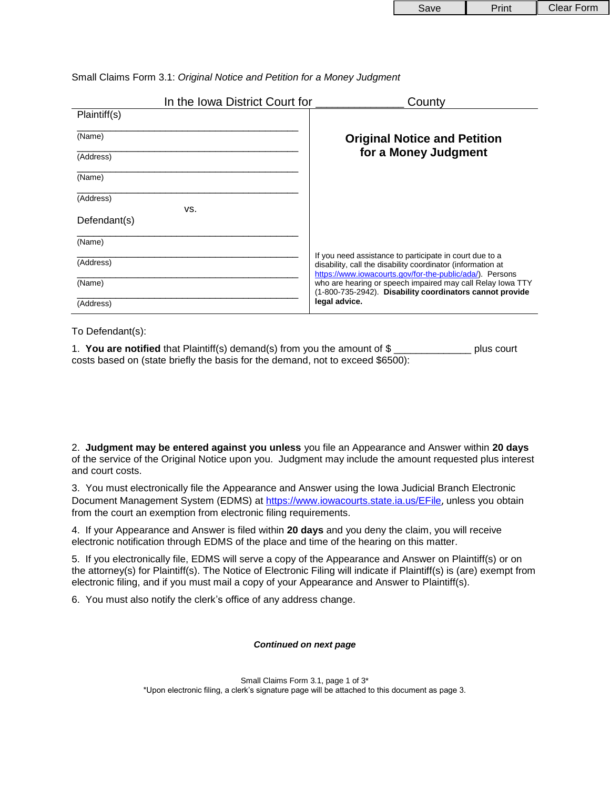| <b>Save</b> | Print | Clear Form |
|-------------|-------|------------|
|-------------|-------|------------|

|  |  |  |  |  | Small Claims Form 3.1: Original Notice and Petition for a Money Judgment |
|--|--|--|--|--|--------------------------------------------------------------------------|
|  |  |  |  |  |                                                                          |
|  |  |  |  |  |                                                                          |

|              | In the Iowa District Court for | County                                                                                                                                                                             |  |  |
|--------------|--------------------------------|------------------------------------------------------------------------------------------------------------------------------------------------------------------------------------|--|--|
| Plaintiff(s) |                                |                                                                                                                                                                                    |  |  |
| (Name)       |                                | <b>Original Notice and Petition</b>                                                                                                                                                |  |  |
| (Address)    |                                | for a Money Judgment                                                                                                                                                               |  |  |
| (Name)       |                                |                                                                                                                                                                                    |  |  |
| (Address)    |                                |                                                                                                                                                                                    |  |  |
| Defendant(s) | VS.                            |                                                                                                                                                                                    |  |  |
| (Name)       |                                |                                                                                                                                                                                    |  |  |
| (Address)    |                                | If you need assistance to participate in court due to a<br>disability, call the disability coordinator (information at<br>https://www.iowacourts.gov/for-the-public/ada/). Persons |  |  |
| (Name)       |                                | who are hearing or speech impaired may call Relay lowa TTY<br>(1-800-735-2942). Disability coordinators cannot provide                                                             |  |  |
| (Address)    |                                | legal advice.                                                                                                                                                                      |  |  |

To Defendant(s):

1. **You are notified** that Plaintiff(s) demand(s) from you the amount of \$ \_\_\_\_\_\_\_\_\_\_\_\_\_\_ plus court costs based on (state briefly the basis for the demand, not to exceed \$6500):

2. **Judgment may be entered against you unless** you file an Appearance and Answer within **20 days** of the service of the Original Notice upon you. Judgment may include the amount requested plus interest and court costs.

3. You must electronically file the Appearance and Answer using the Iowa Judicial Branch Electronic Document Management System (EDMS) at https://www.iowacourts.state.ia.us/EFile, unless you obtain from the court an exemption from electronic filing requirements.

4. If your Appearance and Answer is filed within **20 days** and you deny the claim, you will receive electronic notification through EDMS of the place and time of the hearing on this matter.

5. If you electronically file, EDMS will serve a copy of the Appearance and Answer on Plaintiff(s) or on the attorney(s) for Plaintiff(s). The Notice of Electronic Filing will indicate if Plaintiff(s) is (are) exempt from electronic filing, and if you must mail a copy of your Appearance and Answer to Plaintiff(s).

6. You must also notify the clerk's office of any address change.

## *Continued on next page*